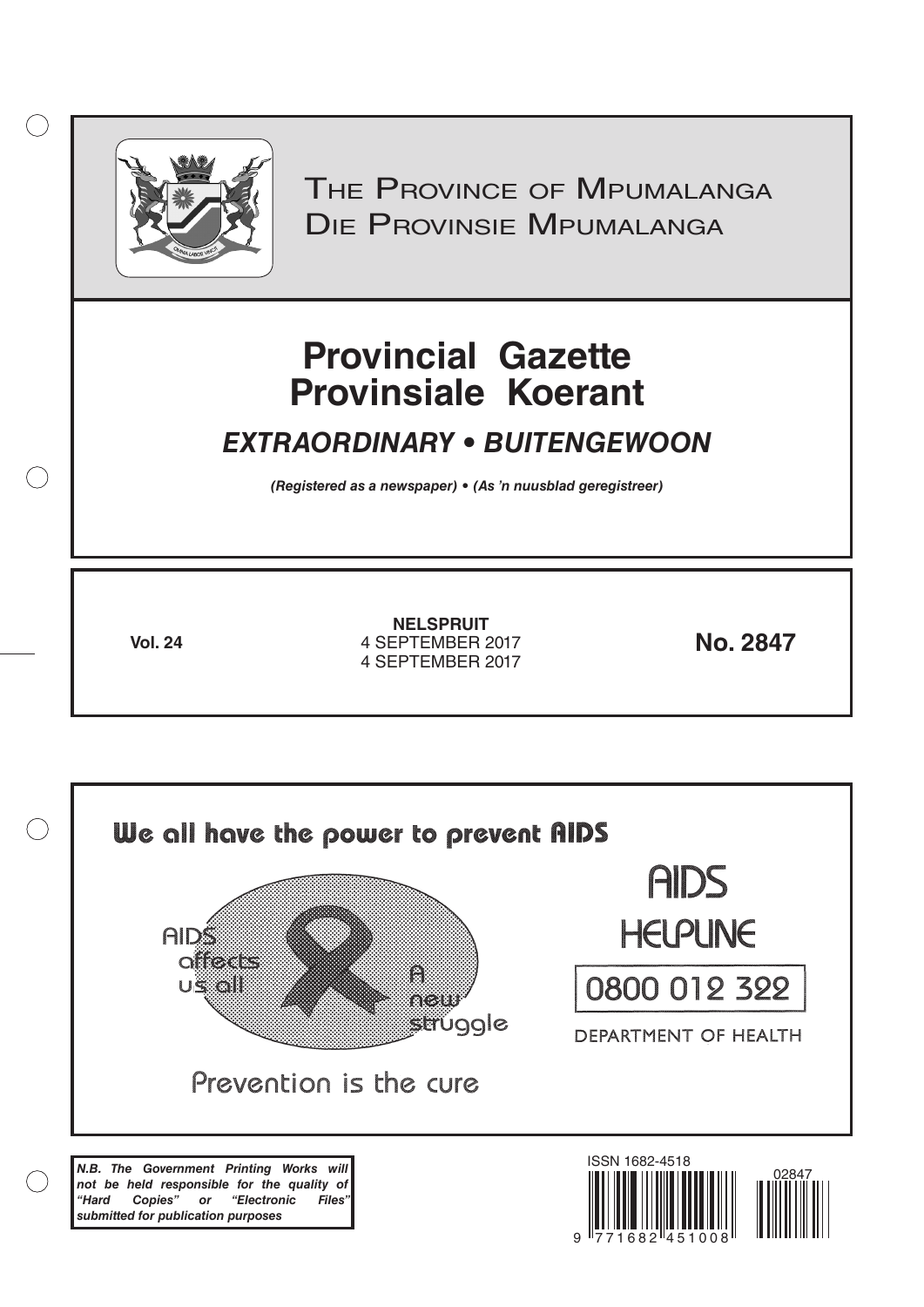

 $( )$ 

THE PROVINCE OF MPUMALANGA Die Provinsie Mpumalanga

# **Provincial Gazette Provinsiale Koerant**

## *EXTRAORDINARY • BUITENGEWOON*

*(Registered as a newspaper) • (As 'n nuusblad geregistreer)*

**Vol. 24 No. 2847** 4 SEPTEMBER 2017 **NELSPRUIT** 4 SEPTEMBER 2017

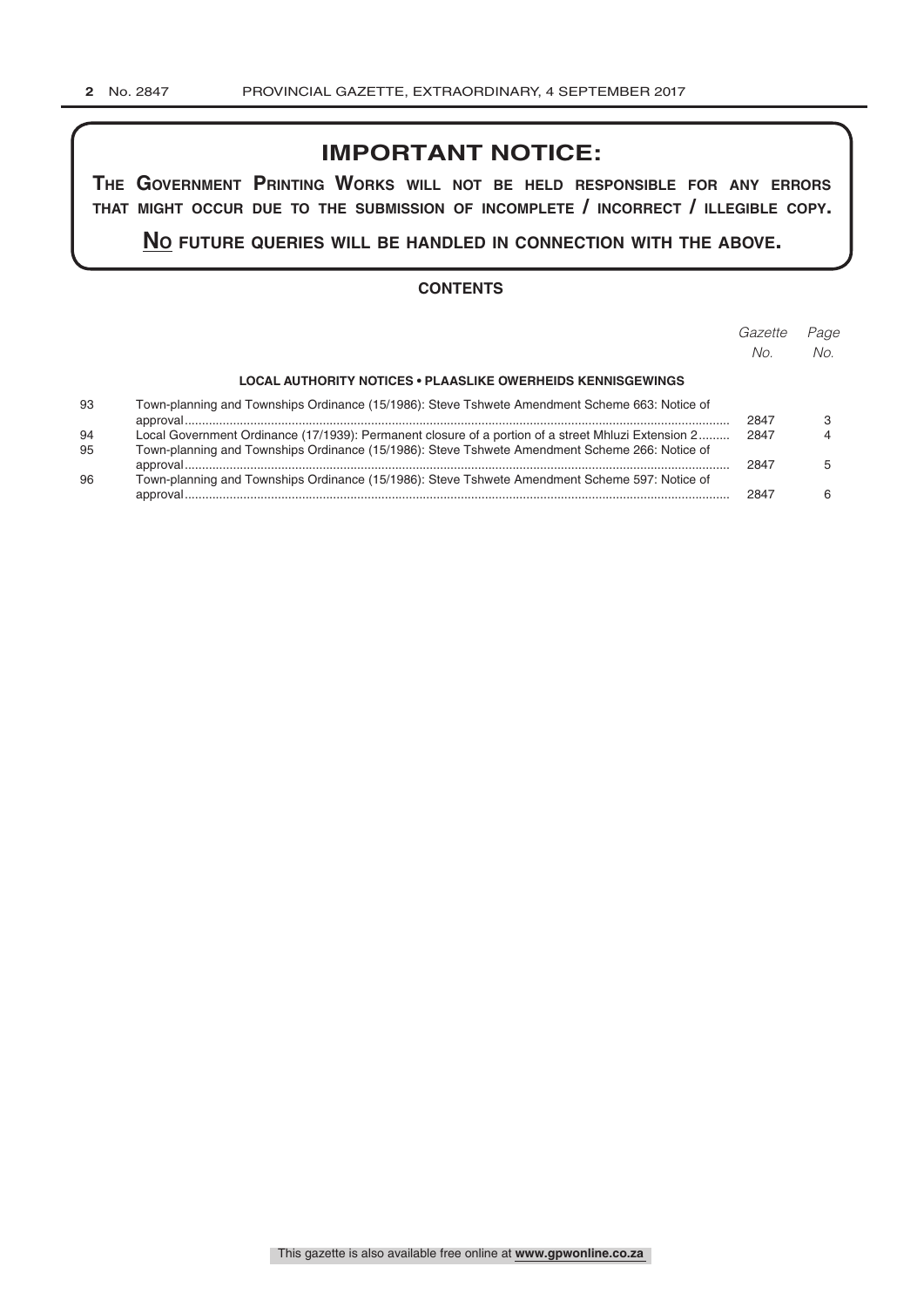## **IMPORTANT NOTICE:**

**The GovernmenT PrinTinG Works Will noT be held resPonsible for any errors ThaT miGhT occur due To The submission of incomPleTe / incorrecT / illeGible coPy.**

**no fuTure queries Will be handled in connecTion WiTh The above.**

#### **CONTENTS**

|          |                                                                                                                                                                                                       | Gazette<br>No. | Page<br>No. |
|----------|-------------------------------------------------------------------------------------------------------------------------------------------------------------------------------------------------------|----------------|-------------|
|          | <b>LOCAL AUTHORITY NOTICES • PLAASLIKE OWERHEIDS KENNISGEWINGS</b>                                                                                                                                    |                |             |
| 93       | Town-planning and Townships Ordinance (15/1986): Steve Tshwete Amendment Scheme 663: Notice of                                                                                                        | 2847           |             |
| 94<br>95 | Local Government Ordinance (17/1939): Permanent closure of a portion of a street Mhluzi Extension 2<br>Town-planning and Townships Ordinance (15/1986): Steve Tshwete Amendment Scheme 266: Notice of | 2847           |             |
| 96       | Town-planning and Townships Ordinance (15/1986): Steve Tshwete Amendment Scheme 597: Notice of                                                                                                        | 2847           | 5           |
|          |                                                                                                                                                                                                       | 2847           | ĥ           |
|          |                                                                                                                                                                                                       |                |             |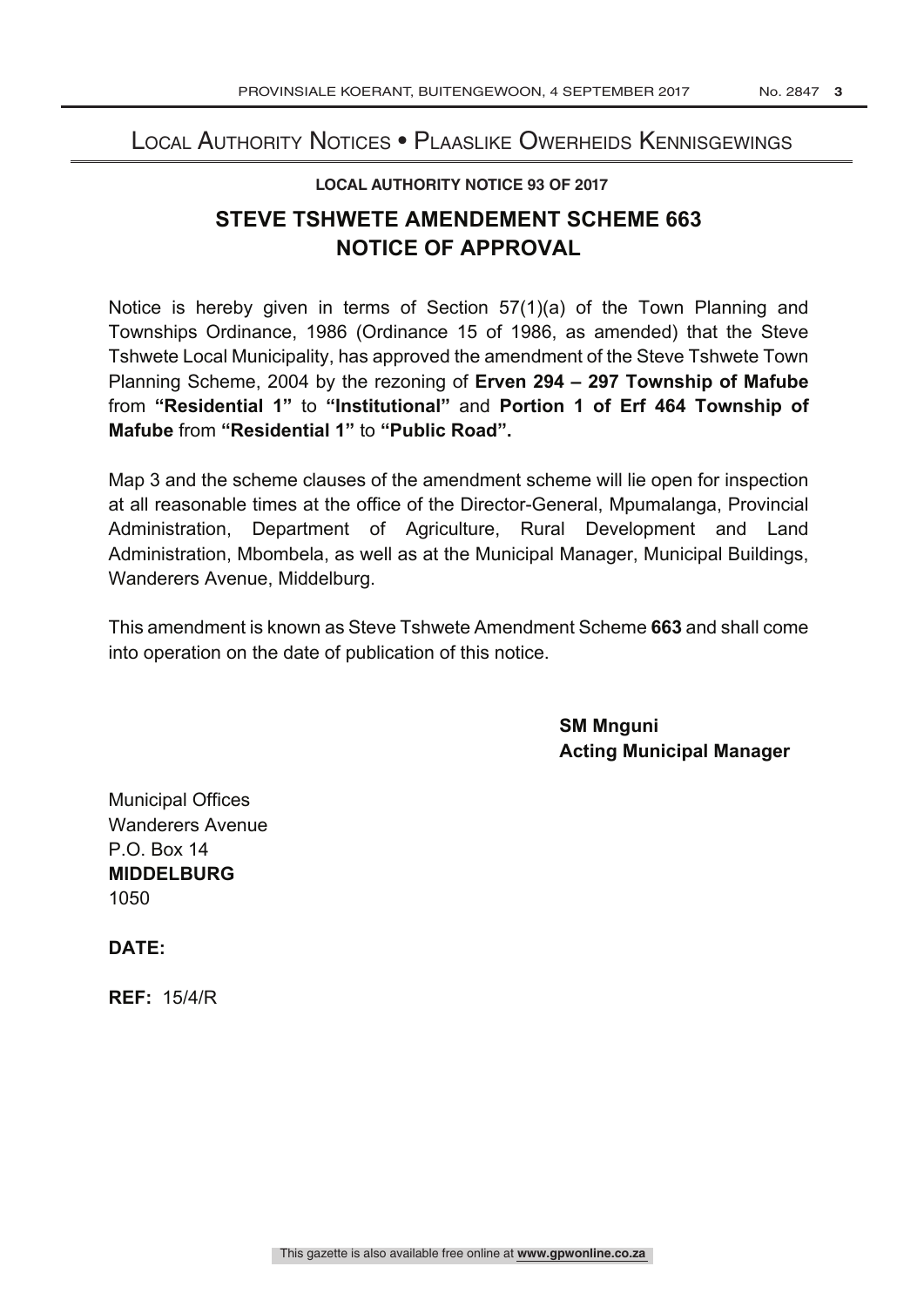## Local Authority Notices • Plaaslike Owerheids Kennisgewings

#### **LOCAL AUTHORITY NOTICE 93 OF 2017**

## **STEVE TSHWETE AMENDEMENT SCHEME 663 NOTICE OF APPROVAL**

Notice is hereby given in terms of Section 57(1)(a) of the Town Planning and Townships Ordinance, 1986 (Ordinance 15 of 1986, as amended) that the Steve Tshwete Local Municipality, has approved the amendment of the Steve Tshwete Town Planning Scheme, 2004 by the rezoning of **Erven 294 – 297 Township of Mafube** from **"Residential 1"** to **"Institutional"** and **Portion 1 of Erf 464 Township of Mafube** from **"Residential 1"** to **"Public Road".**

Map 3 and the scheme clauses of the amendment scheme will lie open for inspection at all reasonable times at the office of the Director-General, Mpumalanga, Provincial Administration, Department of Agriculture, Rural Development and Land Administration, Mbombela, as well as at the Municipal Manager, Municipal Buildings, Wanderers Avenue, Middelburg.

This amendment is known as Steve Tshwete Amendment Scheme **663** and shall come into operation on the date of publication of this notice.

> **SM Mnguni Acting Municipal Manager**

Municipal Offices Wanderers Avenue P.O. Box 14 **MIDDELBURG** 1050

**DATE:**

**REF:** 15/4/R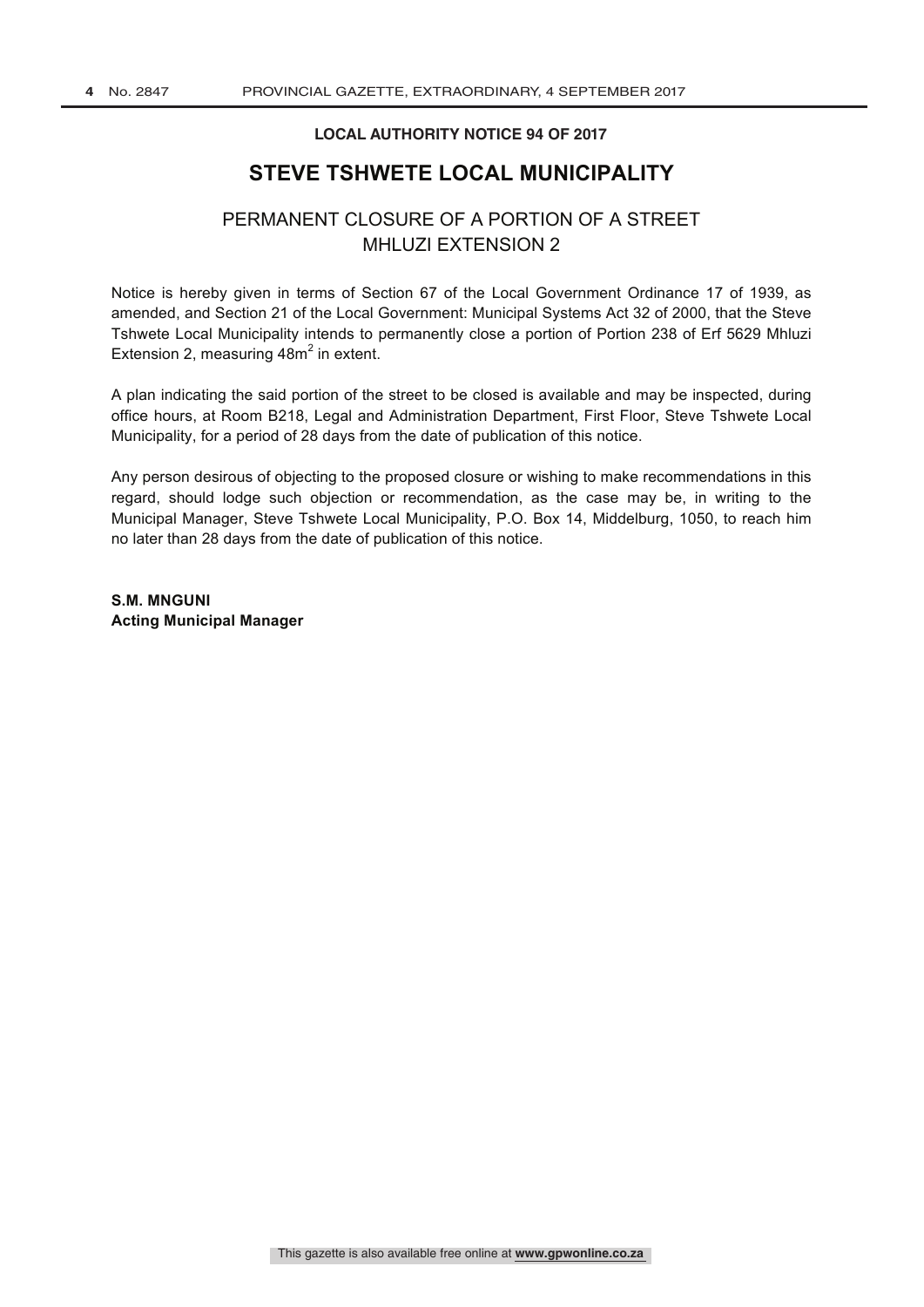#### **LOCAL AUTHORITY NOTICE 94 OF 2017**

### **STEVE TSHWETE LOCAL MUNICIPALITY**

### PERMANENT CLOSURE OF A PORTION OF A STREET MHLUZI EXTENSION 2

Notice is hereby given in terms of Section 67 of the Local Government Ordinance 17 of 1939, as amended, and Section 21 of the Local Government: Municipal Systems Act 32 of 2000, that the Steve Tshwete Local Municipality intends to permanently close a portion of Portion 238 of Erf 5629 Mhluzi Extension 2, measuring  $48m^2$  in extent.

A plan indicating the said portion of the street to be closed is available and may be inspected, during office hours, at Room B218, Legal and Administration Department, First Floor, Steve Tshwete Local Municipality, for a period of 28 days from the date of publication of this notice.

Any person desirous of objecting to the proposed closure or wishing to make recommendations in this regard, should lodge such objection or recommendation, as the case may be, in writing to the Municipal Manager, Steve Tshwete Local Municipality, P.O. Box 14, Middelburg, 1050, to reach him no later than 28 days from the date of publication of this notice.

**S.M. MNGUNI Acting Municipal Manager**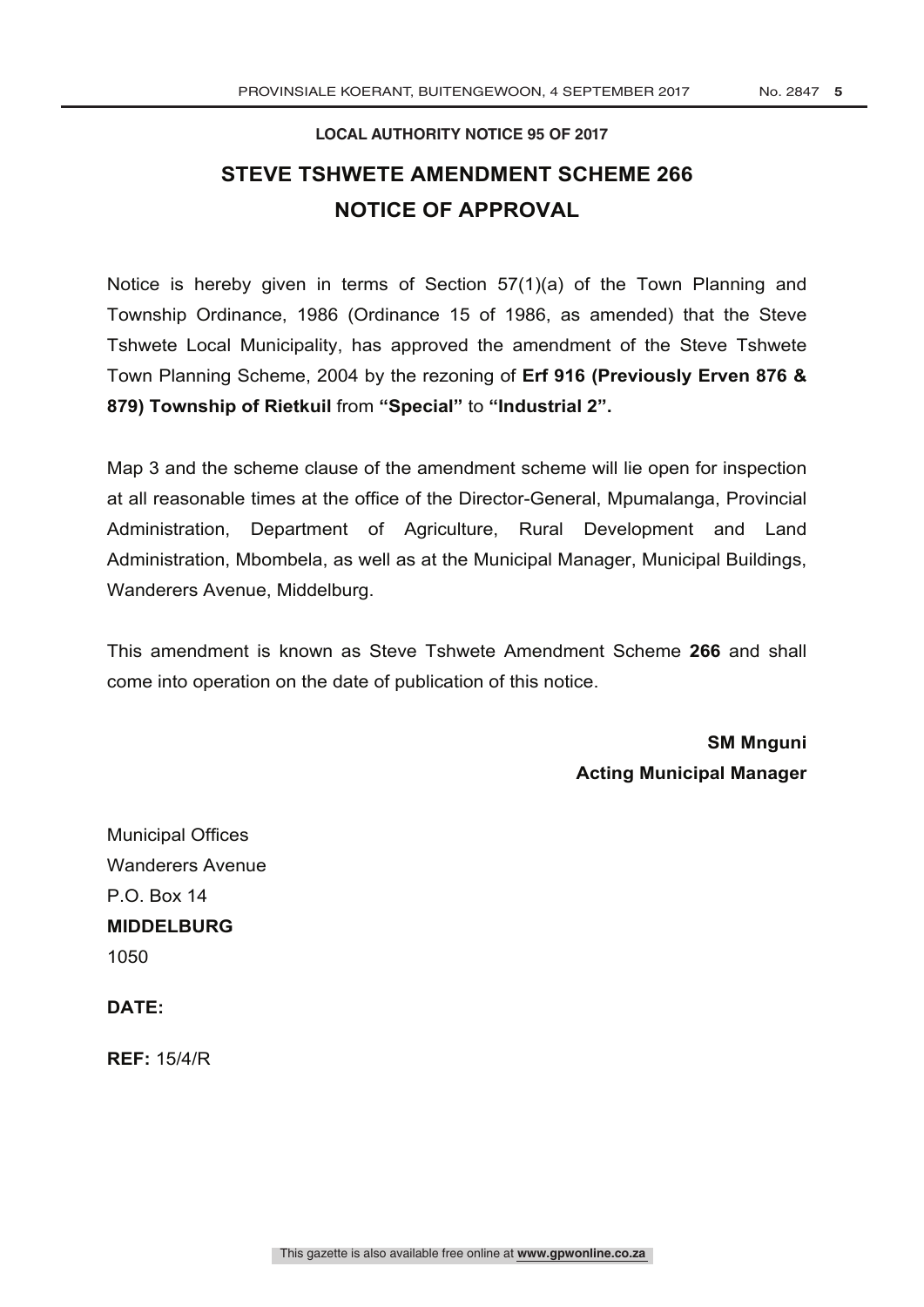## **LOCAL AUTHORITY NOTICE 95 OF 2017 STEVE TSHWETE AMENDMENT SCHEME 266 NOTICE OF APPROVAL**

Notice is hereby given in terms of Section 57(1)(a) of the Town Planning and Township Ordinance, 1986 (Ordinance 15 of 1986, as amended) that the Steve Tshwete Local Municipality, has approved the amendment of the Steve Tshwete Town Planning Scheme, 2004 by the rezoning of **Erf 916 (Previously Erven 876 & 879) Township of Rietkuil** from **"Special"** to **"Industrial 2".**

Map 3 and the scheme clause of the amendment scheme will lie open for inspection at all reasonable times at the office of the Director-General, Mpumalanga, Provincial Administration, Department of Agriculture, Rural Development and Land Administration, Mbombela, as well as at the Municipal Manager, Municipal Buildings, Wanderers Avenue, Middelburg.

This amendment is known as Steve Tshwete Amendment Scheme **266** and shall come into operation on the date of publication of this notice.

> **SM Mnguni Acting Municipal Manager**

Municipal Offices Wanderers Avenue P.O. Box 14 **MIDDELBURG** 1050

**DATE:**

**REF:** 15/4/R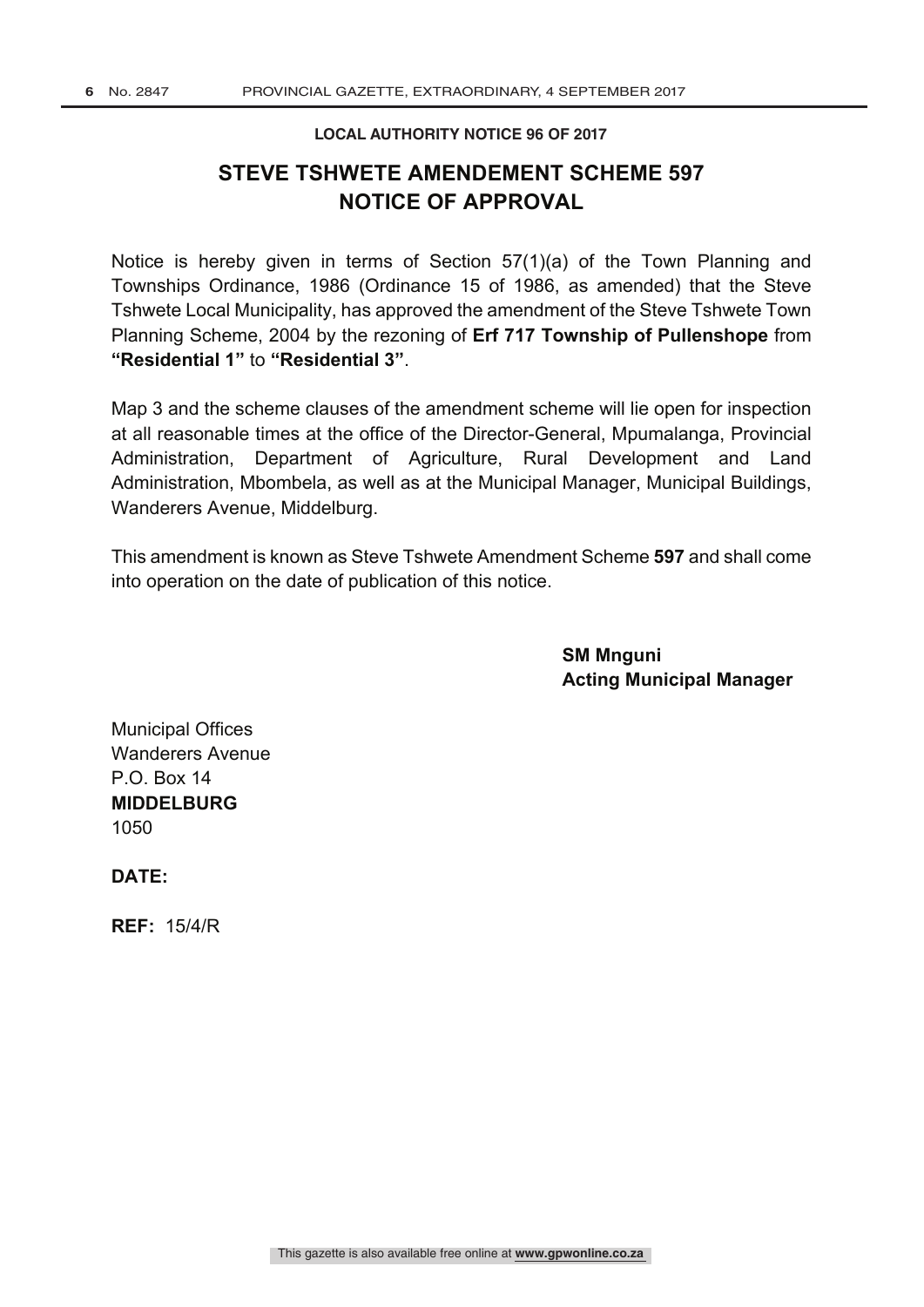#### **LOCAL AUTHORITY NOTICE 96 OF 2017**

## **STEVE TSHWETE AMENDEMENT SCHEME 597 NOTICE OF APPROVAL**

Notice is hereby given in terms of Section 57(1)(a) of the Town Planning and Townships Ordinance, 1986 (Ordinance 15 of 1986, as amended) that the Steve Tshwete Local Municipality, has approved the amendment of the Steve Tshwete Town Planning Scheme, 2004 by the rezoning of **Erf 717 Township of Pullenshope** from **"Residential 1"** to **"Residential 3"**.

Map 3 and the scheme clauses of the amendment scheme will lie open for inspection at all reasonable times at the office of the Director-General, Mpumalanga, Provincial Administration, Department of Agriculture, Rural Development and Land Administration, Mbombela, as well as at the Municipal Manager, Municipal Buildings, Wanderers Avenue, Middelburg.

This amendment is known as Steve Tshwete Amendment Scheme **597** and shall come into operation on the date of publication of this notice.

> **SM Mnguni Acting Municipal Manager**

Municipal Offices Wanderers Avenue P.O. Box 14 **MIDDELBURG** 1050

**DATE:**

**REF:** 15/4/R